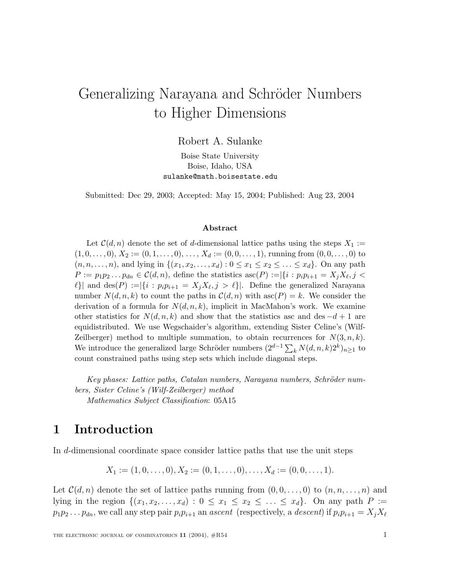# Generalizing Narayana and Schröder Numbers to Higher Dimensions

Robert A. Sulanke

Boise State University Boise, Idaho, USA sulanke@math.boisestate.edu

Submitted: Dec 29, 2003; Accepted: May 15, 2004; Published: Aug 23, 2004

### **Abstract**

Let  $C(d, n)$  denote the set of d-dimensional lattice paths using the steps  $X_1 :=$  $(1, 0, \ldots, 0), X_2 := (0, 1, \ldots, 0), \ldots, X_d := (0, 0, \ldots, 1),$  running from  $(0, 0, \ldots, 0)$  to  $(n, n, \ldots, n)$ , and lying in  $\{(x_1, x_2, \ldots, x_d): 0 \le x_1 \le x_2 \le \ldots \le x_d\}$ . On any path  $P := p_1p_2...p_{dn} \in \mathcal{C}(d,n)$ , define the statistics  $\mathrm{asc}(P) := |\{i : p_ip_{i+1} = X_jX_{\ell}, j \leq \ell\}|$  $\ell$ }| and des(P) :=|{i :  $p_i p_{i+1} = X_j X_{\ell}, j > \ell$ }|. Define the generalized Narayana number  $N(d, n, k)$  to count the paths in  $\mathcal{C}(d, n)$  with  $\mathrm{asc}(P) = k$ . We consider the derivation of a formula for  $N(d, n, k)$ , implicit in MacMahon's work. We examine other statistics for  $N(d, n, k)$  and show that the statistics asc and des  $-d+1$  are equidistributed. We use Wegschaider's algorithm, extending Sister Celine's (Wilf-Zeilberger) method to multiple summation, to obtain recurrences for  $N(3, n, k)$ . We introduce the generalized large Schröder numbers  $(2^{d-1} \sum_{k} N(d, n, k) 2^{k})_{n \geq 1}$  to count constrained paths using step sets which include diagonal steps.

Key phases: Lattice paths, Catalan numbers, Narayana numbers, Schröder num*bers, Sister Celine's (Wilf-Zeilberger) method Mathematics Subject Classification*: 05A15

## **1 Introduction**

In d-dimensional coordinate space consider lattice paths that use the unit steps

$$
X_1 := (1, 0, \ldots, 0), X_2 := (0, 1, \ldots, 0), \ldots, X_d := (0, 0, \ldots, 1).
$$

Let  $\mathcal{C}(d,n)$  denote the set of lattice paths running from  $(0,0,\ldots,0)$  to  $(n,n,\ldots,n)$  and lying in the region  $\{(x_1, x_2,...,x_d): 0 \le x_1 \le x_2 \le ... \le x_d\}$ . On any path  $P :=$  $p_1p_2 \ldots p_{dn}$ , we call any step pair  $p_ip_{i+1}$  an ascent (respectively, a descent) if  $p_ip_{i+1} = X_jX_\ell$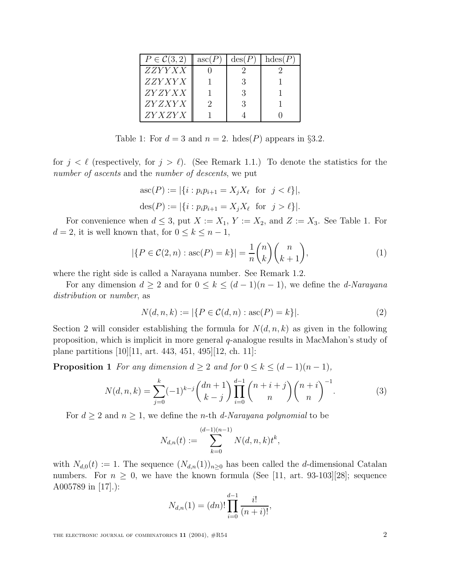| $P\in \mathcal{C}(3,2)$ | asc(P) | $\text{des}(P)$ | hdes(P) |
|-------------------------|--------|-----------------|---------|
| <i>ZZYYXX</i>           |        |                 |         |
| <i>ZZY XY X</i>         |        |                 |         |
| <i>ZY ZY XX</i>         |        | -3              |         |
| <i>ZY Z XY X</i>        |        | 3               |         |
| <i>ZY X ZY X</i>        |        |                 |         |

Table 1: For  $d = 3$  and  $n = 2$ . hdes(P) appears in §3.2.

for  $j < \ell$  (respectively, for  $j > \ell$ ). (See Remark 1.1.) To denote the statistics for the number of ascents and the number of descents, we put

$$
asc(P) := |\{i : p_i p_{i+1} = X_j X_\ell \text{ for } j < \ell\}|,
$$
  

$$
des(P) := |\{i : p_i p_{i+1} = X_j X_\ell \text{ for } j > \ell\}|.
$$

For convenience when  $d \leq 3$ , put  $X := X_1, Y := X_2$ , and  $Z := X_3$ . See Table 1. For  $d = 2$ , it is well known that, for  $0 \leq k \leq n - 1$ ,

$$
|\{P \in \mathcal{C}(2,n) : \mathrm{asc}(P) = k\}| = \frac{1}{n} \binom{n}{k} \binom{n}{k+1},\tag{1}
$$

where the right side is called a Narayana number. See Remark 1.2.

For any dimension  $d \geq 2$  and for  $0 \leq k \leq (d-1)(n-1)$ , we define the *d-Narayana* distribution or number, as

$$
N(d, n, k) := |\{ P \in C(d, n) : \mathrm{asc}(P) = k \}|.
$$
 (2)

Section 2 will consider establishing the formula for  $N(d, n, k)$  as given in the following proposition, which is implicit in more general q-analogue results in MacMahon's study of plane partitions [10][11, art. 443, 451, 495][12, ch. 11]:

**Proposition 1** For any dimension  $d \geq 2$  and for  $0 \leq k \leq (d-1)(n-1)$ ,

$$
N(d, n, k) = \sum_{j=0}^{k} (-1)^{k-j} {dn + 1 \choose k-j} \prod_{i=0}^{d-1} {n+i+j \choose n} {n+i \choose n}^{-1}.
$$
 (3)

For  $d \geq 2$  and  $n \geq 1$ , we define the *n*-th *d*-Narayana polynomial to be

$$
N_{d,n}(t) := \sum_{k=0}^{(d-1)(n-1)} N(d,n,k)t^k,
$$

with  $N_{d,0}(t) := 1$ . The sequence  $(N_{d,n}(1))_{n\geq 0}$  has been called the d-dimensional Catalan numbers. For  $n \geq 0$ , we have the known formula (See [11, art. 93-103][28]; sequence A005789 in [17].):

$$
N_{d,n}(1) = (dn)! \prod_{i=0}^{d-1} \frac{i!}{(n+i)!},
$$

THE ELECTRONIC JOURNAL OF COMBINATORICS  $11$  (2004),  $\#R54$  2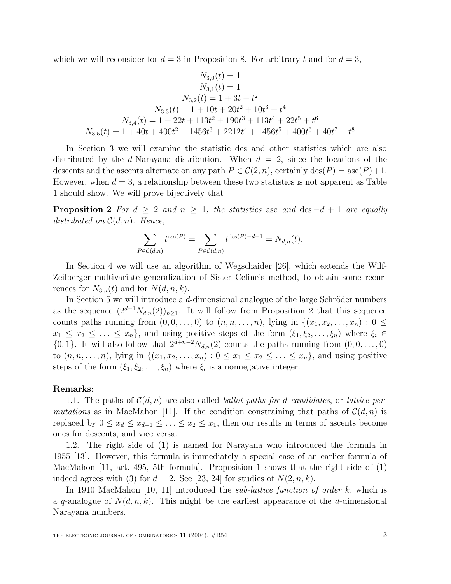which we will reconsider for  $d = 3$  in Proposition 8. For arbitrary t and for  $d = 3$ ,

$$
N_{3,0}(t) = 1
$$
  
\n
$$
N_{3,1}(t) = 1
$$
  
\n
$$
N_{3,2}(t) = 1 + 3t + t^2
$$
  
\n
$$
N_{3,3}(t) = 1 + 10t + 20t^2 + 10t^3 + t^4
$$
  
\n
$$
N_{3,4}(t) = 1 + 22t + 113t^2 + 190t^3 + 113t^4 + 22t^5 + t^6
$$
  
\n
$$
N_{3,5}(t) = 1 + 40t + 400t^2 + 1456t^3 + 2212t^4 + 1456t^5 + 400t^6 + 40t^7 + t^8
$$

In Section 3 we will examine the statistic des and other statistics which are also distributed by the d-Narayana distribution. When  $d = 2$ , since the locations of the descents and the ascents alternate on any path  $P \in \mathcal{C}(2,n)$ , certainly  $\text{des}(P) = \text{asc}(P)+1$ . However, when  $d = 3$ , a relationship between these two statistics is not apparent as Table 1 should show. We will prove bijectively that

**Proposition 2** For  $d \geq 2$  and  $n \geq 1$ , the statistics asc and des  $-d+1$  are equally distributed on  $\mathcal{C}(d,n)$ . Hence,

$$
\sum_{P \in \mathcal{C}(d,n)} t^{\mathrm{asc}(P)} = \sum_{P \in \mathcal{C}(d,n)} t^{\mathrm{des}(P) - d + 1} = N_{d,n}(t).
$$

In Section 4 we will use an algorithm of Wegschaider [26], which extends the Wilf-Zeilberger multivariate generalization of Sister Celine's method, to obtain some recurrences for  $N_{3,n}(t)$  and for  $N(d, n, k)$ .

In Section 5 we will introduce a  $d$ -dimensional analogue of the large Schröder numbers as the sequence  $(2^{d-1}N_{d,n}(2))_{n\geq 1}$ . It will follow from Proposition 2 that this sequence counts paths running from  $(0, 0, \ldots, 0)$  to  $(n, n, \ldots, n)$ , lying in  $\{(x_1, x_2, \ldots, x_n): 0 \leq$  $x_1 \leq x_2 \leq \ldots \leq x_n$ , and using positive steps of the form  $(\xi_1, \xi_2, \ldots, \xi_n)$  where  $\xi_i \in$  $\{0, 1\}$ . It will also follow that  $2^{d+n-2}N_{d,n}(2)$  counts the paths running from  $(0, 0, \ldots, 0)$ to  $(n, n, \ldots, n)$ , lying in  $\{(x_1, x_2, \ldots, x_n): 0 \le x_1 \le x_2 \le \ldots \le x_n\}$ , and using positive steps of the form  $(\xi_1, \xi_2, \ldots, \xi_n)$  where  $\xi_i$  is a nonnegative integer.

#### **Remarks:**

1.1. The paths of  $\mathcal{C}(d, n)$  are also called *ballot paths for d candidates*, or *lattice per*mutations as in MacMahon [11]. If the condition constraining that paths of  $\mathcal{C}(d, n)$  is replaced by  $0 \le x_d \le x_{d-1} \le \ldots \le x_2 \le x_1$ , then our results in terms of ascents become ones for descents, and vice versa.

1.2. The right side of (1) is named for Narayana who introduced the formula in 1955 [13]. However, this formula is immediately a special case of an earlier formula of MacMahon [11, art. 495, 5th formula]. Proposition 1 shows that the right side of (1) indeed agrees with (3) for  $d = 2$ . See [23, 24] for studies of  $N(2, n, k)$ .

In 1910 MacMahon  $[10, 11]$  introduced the *sub-lattice function of order k*, which is a q-analogue of  $N(d, n, k)$ . This might be the earliest appearance of the d-dimensional Narayana numbers.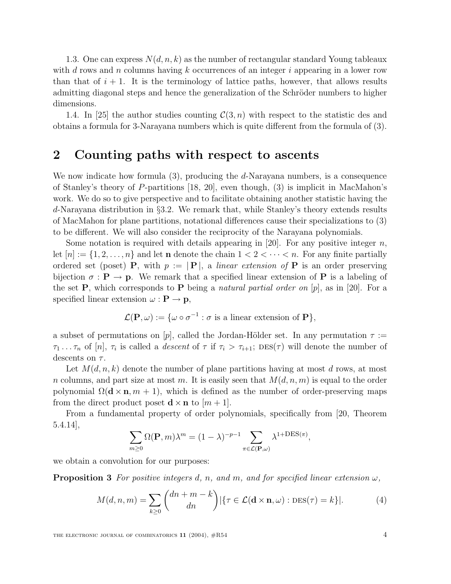1.3. One can express  $N(d, n, k)$  as the number of rectangular standard Young tableaux with d rows and n columns having k occurrences of an integer i appearing in a lower row than that of  $i + 1$ . It is the terminology of lattice paths, however, that allows results admitting diagonal steps and hence the generalization of the Schröder numbers to higher dimensions.

1.4. In [25] the author studies counting  $\mathcal{C}(3,n)$  with respect to the statistic des and obtains a formula for 3-Narayana numbers which is quite different from the formula of (3).

## **2 Counting paths with respect to ascents**

We now indicate how formula (3), producing the d-Narayana numbers, is a consequence of Stanley's theory of P-partitions [18, 20], even though, (3) is implicit in MacMahon's work. We do so to give perspective and to facilitate obtaining another statistic having the d-Narayana distribution in §3.2. We remark that, while Stanley's theory extends results of MacMahon for plane partitions, notational differences cause their specializations to (3) to be different. We will also consider the reciprocity of the Narayana polynomials.

Some notation is required with details appearing in [20]. For any positive integer  $n$ , let  $[n] := \{1, 2, \ldots, n\}$  and let **n** denote the chain  $1 < 2 < \cdots < n$ . For any finite partially ordered set (poset) **P**, with  $p := |\mathbf{P}|$ , a *linear extension of* **P** is an order preserving bijection  $\sigma : \mathbf{P} \to \mathbf{p}$ . We remark that a specified linear extension of **P** is a labeling of the set **P**, which corresponds to **P** being a natural partial order on  $[p]$ , as in [20]. For a specified linear extension  $\omega : \mathbf{P} \to \mathbf{p}$ ,

$$
\mathcal{L}(\mathbf{P}, \omega) := \{ \omega \circ \sigma^{-1} : \sigma \text{ is a linear extension of } \mathbf{P} \},
$$

a subset of permutations on [p], called the Jordan-Hölder set. In any permutation  $\tau :=$  $\tau_1 \ldots \tau_n$  of  $[n], \tau_i$  is called a *descent* of  $\tau$  if  $\tau_i > \tau_{i+1}$ ;  $\text{DES}(\tau)$  will denote the number of descents on  $\tau$ .

Let  $M(d, n, k)$  denote the number of plane partitions having at most d rows, at most n columns, and part size at most m. It is easily seen that  $M(d, n, m)$  is equal to the order polynomial  $\Omega(\mathbf{d} \times \mathbf{n}, m + 1)$ , which is defined as the number of order-preserving maps from the direct product poset  $\mathbf{d} \times \mathbf{n}$  to  $[m+1]$ .

From a fundamental property of order polynomials, specifically from [20, Theorem 5.4.14],

$$
\sum_{m\geq 0} \Omega(\mathbf{P}, m)\lambda^m = (1 - \lambda)^{-p-1} \sum_{\pi \in \mathcal{L}(\mathbf{P}, \omega)} \lambda^{1 + \text{DES}(\pi)},
$$

we obtain a convolution for our purposes:

**Proposition 3** For positive integers d, n, and m, and for specified linear extension  $\omega$ ,

$$
M(d, n, m) = \sum_{k \ge 0} {dn + m - k \choose dn} \left\{ \tau \in \mathcal{L}(\mathbf{d} \times \mathbf{n}, \omega) : \text{DES}(\tau) = k \right\} \tag{4}
$$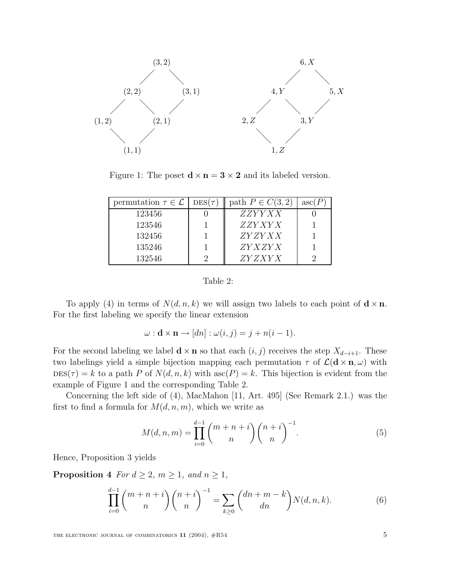

Figure 1: The poset  $\mathbf{d} \times \mathbf{n} = 3 \times 2$  and its labeled version.

| permutation $\tau \in \mathcal{L}$ | $DES(\tau)$ | path $P \in C(3, 2)$ | asc(F) |
|------------------------------------|-------------|----------------------|--------|
| 123456                             |             | <i>ZZYYXX</i>        |        |
| 123546                             |             | <i>ZZY XY X</i>      |        |
| 132456                             |             | ZYZYXX               |        |
| 135246                             |             | <i>ZY X ZY X</i>     |        |
| 132546                             |             | <i>ZY Z XY X</i>     |        |

| Table |  |
|-------|--|
|-------|--|

To apply (4) in terms of  $N(d, n, k)$  we will assign two labels to each point of  $\mathbf{d} \times \mathbf{n}$ . For the first labeling we specify the linear extension

$$
\omega: \mathbf{d} \times \mathbf{n} \to [dn]: \omega(i,j) = j + n(i-1).
$$

For the second labeling we label  $\mathbf{d} \times \mathbf{n}$  so that each  $(i, j)$  receives the step  $X_{d-i+1}$ . These two labelings yield a simple bijection mapping each permutation  $\tau$  of  $\mathcal{L}(\mathbf{d} \times \mathbf{n}, \omega)$  with  $DES(\tau) = k$  to a path P of  $N(d, n, k)$  with  $asc(P) = k$ . This bijection is evident from the example of Figure 1 and the corresponding Table 2.

Concerning the left side of (4), MacMahon [11, Art. 495] (See Remark 2.1.) was the first to find a formula for  $M(d, n, m)$ , which we write as

$$
M(d, n, m) = \prod_{i=0}^{d-1} {m+n+i \choose n} {n+i \choose n}^{-1}.
$$
 (5)

Hence, Proposition 3 yields

**Proposition 4** For  $d \geq 2$ ,  $m \geq 1$ , and  $n \geq 1$ ,

$$
\prod_{i=0}^{d-1} \binom{m+n+i}{n} \binom{n+i}{n}^{-1} = \sum_{k \ge 0} \binom{dn+m-k}{dn} N(d,n,k).
$$
 (6)

THE ELECTRONIC JOURNAL OF COMBINATORICS  $11$  (2004),  $\#R54$  5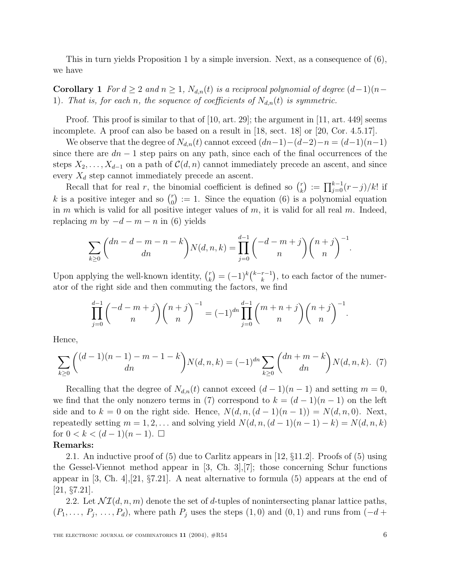This in turn yields Proposition 1 by a simple inversion. Next, as a consequence of (6), we have

**Corollary 1** For  $d \geq 2$  and  $n \geq 1$ ,  $N_{d,n}(t)$  is a reciprocal polynomial of degree  $(d-1)(n-1)$ 1). That is, for each n, the sequence of coefficients of  $N_{d,n}(t)$  is symmetric.

Proof. This proof is similar to that of [10, art. 29]; the argument in [11, art. 449] seems incomplete. A proof can also be based on a result in [18, sect. 18] or [20, Cor. 4.5.17].

We observe that the degree of  $N_{d,n}(t)$  cannot exceed  $(dn-1)-(d-2)-n = (d-1)(n-1)$ since there are  $dn - 1$  step pairs on any path, since each of the final occurrences of the steps  $X_2, \ldots, X_{d-1}$  on a path of  $\mathcal{C}(d, n)$  cannot immediately precede an ascent, and since every  $X_d$  step cannot immediately precede an ascent.

Recall that for real r, the binomial coefficient is defined so  $\binom{r}{k} := \prod_{j=0}^{k-1} (r-j)/k!$  if k is a positive integer and so  $\binom{r}{0}$  := 1. Since the equation (6) is a polynomial equation in m which is valid for all positive integer values of  $m$ , it is valid for all real  $m$ . Indeed, replacing m by  $-d - m - n$  in (6) yields

$$
\sum_{k\geq 0} {dn - d - m - n - k \choose dn} N(d, n, k) = \prod_{j=0}^{d-1} { -d - m + j \choose n} {n + j \choose n}^{-1}.
$$

Upon applying the well-known identity,  $\binom{r}{k} = (-1)^k \binom{k-r-1}{k}$ , to each factor of the numerator of the right side and then commuting the factors, we find

$$
\prod_{j=0}^{d-1} {\binom{-d-m+j}{n}} {\binom{n+j}{n}}^{-1} = (-1)^{dn} \prod_{j=0}^{d-1} {\binom{m+n+j}{n}} {\binom{n+j}{n}}^{-1}.
$$

Hence,

$$
\sum_{k\geq 0} \binom{(d-1)(n-1)-m-1-k}{dn} N(d,n,k) = (-1)^{dn} \sum_{k\geq 0} \binom{dn+m-k}{dn} N(d,n,k). \tag{7}
$$

Recalling that the degree of  $N_{d,n}(t)$  cannot exceed  $(d-1)(n-1)$  and setting  $m=0$ , we find that the only nonzero terms in (7) correspond to  $k = (d-1)(n-1)$  on the left side and to  $k = 0$  on the right side. Hence,  $N(d, n, (d-1)(n-1)) = N(d, n, 0)$ . Next, repeatedly setting  $m = 1, 2, \ldots$  and solving yield  $N(d, n, (d-1)(n-1) - k) = N(d, n, k)$ for  $0 < k < (d-1)(n-1)$ . □

### **Remarks:**

2.1. An inductive proof of  $(5)$  due to Carlitz appears in [12, §11.2]. Proofs of  $(5)$  using the Gessel-Viennot method appear in [3, Ch. 3],[7]; those concerning Schur functions appear in  $[3, Ch. 4], [21, §7.21].$  A neat alternative to formula  $(5)$  appears at the end of [21, §7.21].

2.2. Let  $\mathcal{N} \mathcal{I}(d, n, m)$  denote the set of d-tuples of nonintersecting planar lattice paths,  $(P_1, \ldots, P_j, \ldots, P_d)$ , where path  $P_j$  uses the steps  $(1, 0)$  and  $(0, 1)$  and runs from  $(-d +$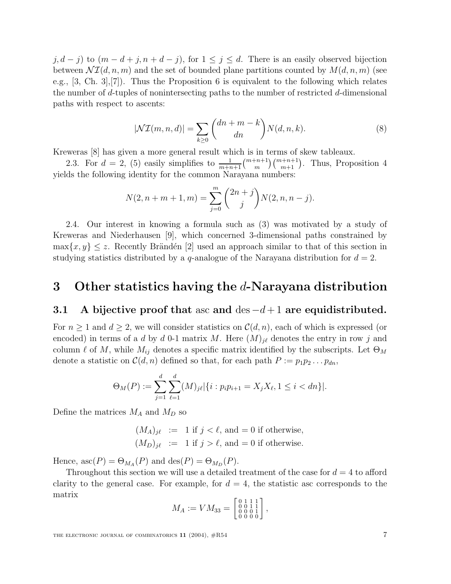$j, d - j$  to  $(m - d + j, n + d - j)$ , for  $1 \leq j \leq d$ . There is an easily observed bijection between  $\mathcal{NI}(d, n, m)$  and the set of bounded plane partitions counted by  $M(d, n, m)$  (see e.g., [3, Ch. 3],[7]). Thus the Proposition 6 is equivalent to the following which relates the number of d-tuples of nonintersecting paths to the number of restricted d-dimensional paths with respect to ascents:

$$
|\mathcal{NI}(m,n,d)| = \sum_{k\geq 0} \binom{dn+m-k}{dn} N(d,n,k).
$$
 (8)

Kreweras [8] has given a more general result which is in terms of skew tableaux.

2.3. For  $d = 2$ , (5) easily simplifies to  $\frac{1}{m+n+1} {m+n+1 \choose m} {m+n+1 \choose m+1}$ . Thus, Proposition 4 yields the following identity for the common Narayana numbers:

$$
N(2, n + m + 1, m) = \sum_{j=0}^{m} {2n + j \choose j} N(2, n, n - j).
$$

2.4. Our interest in knowing a formula such as (3) was motivated by a study of Kreweras and Niederhausen [9], which concerned 3-dimensional paths constrained by  $\max\{x, y\} \leq z$ . Recently Brändén [2] used an approach similar to that of this section in studying statistics distributed by a q-analogue of the Narayana distribution for  $d = 2$ .

## **3 Other statistics having the** d**-Narayana distribution**

### **3.1 A bijective proof that** asc **and** des −d+ 1 **are equidistributed.**

For  $n \geq 1$  and  $d \geq 2$ , we will consider statistics on  $\mathcal{C}(d, n)$ , each of which is expressed (or encoded) in terms of a d by d 0-1 matrix M. Here  $(M)_{i\ell}$  denotes the entry in row j and column  $\ell$  of M, while  $M_{ij}$  denotes a specific matrix identified by the subscripts. Let  $\Theta_M$ denote a statistic on  $\mathcal{C}(d, n)$  defined so that, for each path  $P := p_1 p_2 \dots p_{dn}$ .

$$
\Theta_M(P) := \sum_{j=1}^d \sum_{\ell=1}^d (M)_{j\ell} |\{i : p_i p_{i+1} = X_j X_\ell, 1 \le i < d n\}|.
$$

Define the matrices  $M_A$  and  $M_D$  so

 $(M_A)_{i\ell} := 1$  if  $j < \ell$ , and  $= 0$  if otherwise,  $(M_D)_{j\ell} := 1$  if  $j > \ell$ , and  $= 0$  if otherwise.

Hence,  $\mathrm{asc}(P)=\Theta_{M_A}(P)$  and  $\mathrm{des}(P)=\Theta_{M_D}(P)$ .

Throughout this section we will use a detailed treatment of the case for  $d = 4$  to afford clarity to the general case. For example, for  $d = 4$ , the statistic asc corresponds to the matrix

$$
M_A := VM_{33} = \begin{bmatrix} 0 & 1 & 1 & 1 \\ 0 & 0 & 1 & 1 \\ 0 & 0 & 0 & 1 \\ 0 & 0 & 0 & 0 \end{bmatrix},
$$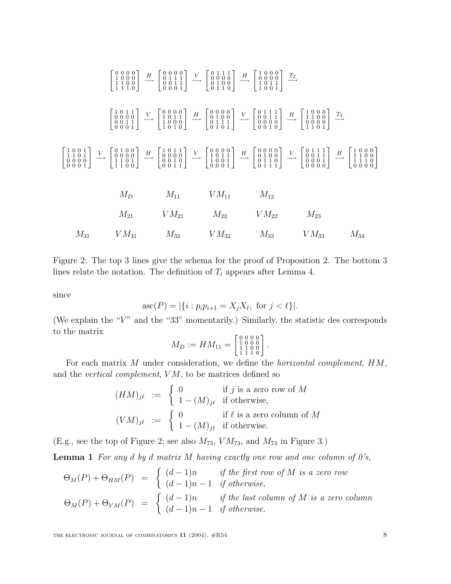|          | $M_{31}$ $VM_{31}$ $M_{32}$ $VM_{32}$ |                    | $M_{33}$ $VM_{33}$                                                                                                                                                                                                                                                                                                                                                                           | $M_{34}$ |
|----------|---------------------------------------|--------------------|----------------------------------------------------------------------------------------------------------------------------------------------------------------------------------------------------------------------------------------------------------------------------------------------------------------------------------------------------------------------------------------------|----------|
| $M_{21}$ | $VM_{21}$                             | $M_{22}$ $VM_{22}$ | $M_{23}$                                                                                                                                                                                                                                                                                                                                                                                     |          |
| $M_D$    | $M_{11}$ $VM_{11}$                    | $M_{12}$           |                                                                                                                                                                                                                                                                                                                                                                                              |          |
|          |                                       |                    | $\begin{bmatrix} 1 & 0 & 0 & 1 \\ 1 & 1 & 0 & 1 \\ 0 & 0 & 0 & 0 \\ 0 & 0 & 0 & 0 \\ 0 & 0 & 0 & 0 \\ 0 & 0 & 0 & 0 \\ 0 & 0 & 0 & 0 \\ 0 & 0 & 0 & 0 \\ 0 & 0 & 0 & 0 \\ 0 & 0 & 0 & 0 \\ 0 & 0 & 1 & 0 \\ 0 & 0 & 1 & 0 \\ 0 & 0 & 1 & 0 \\ 0 & 0 & 0 & 1 \\ 0 & 0 & 0 & 1 \\ 0 & 0 & 0 & 1 \\ 0 & 0 & 0 & 1 \\ 0 & 0 & 0 & $                                                              |          |
|          |                                       |                    | $\begin{bmatrix} 1 & 0 & 1 & 1 \\ 0 & 0 & 0 & 0 \\ 0 & 0 & 1 & 1 \\ 0 & 0 & 1 & 1 \end{bmatrix}$ $\longrightarrow$ $\begin{bmatrix} 0 & 0 & 0 & 0 \\ 1 & 0 & 1 & 1 \\ 1 & 0 & 1 & 0 \\ 1 & 0 & 0 & 0 \end{bmatrix}$ $\longrightarrow$ $\begin{bmatrix} 0 & 0 & 0 & 0 \\ 0 & 1 & 0 & 0 \\ 0 & 1 & 1 & 1 \\ 0 & 1 & 0 & 1 \end{bmatrix}$ $\longrightarrow$ $\begin{bmatrix} 0 & 1 & 1 & 1 \\ $ |          |
|          |                                       |                    |                                                                                                                                                                                                                                                                                                                                                                                              |          |

Figure 2: The top 3 lines give the schema for the proof of Proposition 2. The bottom 3 lines relate the notation. The definition of  $T_i$  appears after Lemma 4.

since

$$
asc(P) = |\{i : p_i p_{i+1} = X_j X_\ell, \text{ for } j < \ell\}|.
$$

(We explain the " $V$ " and the "33" momentarily.) Similarly, the statistic des corresponds to the matrix

$$
M_D := HM_{11} = \begin{bmatrix} 0 & 0 & 0 & 0 \\ 1 & 0 & 0 & 0 \\ 1 & 1 & 0 & 0 \\ 1 & 1 & 1 & 0 \end{bmatrix}.
$$

For each matrix M under consideration, we define the horizontal complement, HM, and the *vertical complement*,  $VM$ , to be matrices defined so

$$
(HM)_{j\ell} := \begin{cases} 0 & \text{if } j \text{ is a zero row of } M \\ 1 - (M)_{j\ell} & \text{if otherwise,} \end{cases}
$$

$$
(VM)_{j\ell} := \begin{cases} 0 & \text{if } \ell \text{ is a zero column of } M \\ 1 - (M)_{j\ell} & \text{if otherwise.} \end{cases}
$$

(E.g., see the top of Figure 2; see also  $M_{73}$ ,  $VM_{73}$ , and  $M_{74}$  in Figure 3.)

**Lemma 1** For any d by d matrix M having exactly one row and one column of 0's,

$$
\Theta_M(P) + \Theta_{HM}(P) = \begin{cases}\n(d-1)n & \text{if the first row of } M \text{ is a zero row} \\
(d-1)n - 1 & \text{if otherwise,} \\
(d-1)n & \text{if the last column of } M \text{ is a zero column}\n\end{cases}
$$
\n
$$
\Theta_M(P) + \Theta_{VM}(P) = \begin{cases}\n(d-1)n & \text{if the last column of } M \text{ is a zero column} \\
(d-1)n - 1 & \text{if otherwise.}\n\end{cases}
$$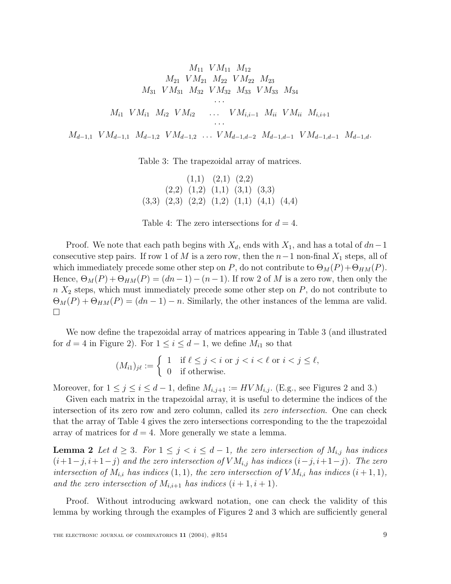$$
M_{11} \quad VM_{11} \quad M_{12}
$$
\n
$$
M_{21} \quad VM_{21} \quad M_{22} \quad VM_{22} \quad M_{23}
$$
\n
$$
M_{31} \quad VM_{31} \quad M_{32} \quad VM_{32} \quad M_{33} \quad VM_{33} \quad M_{34}
$$
\n...\n
$$
M_{i1} \quad VM_{i1} \quad M_{i2} \quad VM_{i2} \quad \dots \quad VM_{i,i-1} \quad M_{ii} \quad VM_{ii} \quad M_{i,i+1}
$$
\n...\n
$$
M_{d-1,1} \quad VM_{d-1,2} \quad VM_{d-1,2} \quad \dots \quad VM_{d-1,d-2} \quad M_{d-1,d-1} \quad VM_{d-1,d-1} \quad M_{d-1,d}.
$$

Table 3: The trapezoidal array of matrices.

$$
(1,1) (2,1) (2,2)
$$
  
\n
$$
(2,2) (1,2) (1,1) (3,1) (3,3)
$$
  
\n
$$
(3,3) (2,3) (2,2) (1,2) (1,1) (4,1) (4,4)
$$

Table 4: The zero intersections for  $d = 4$ .

Proof. We note that each path begins with  $X_d$ , ends with  $X_1$ , and has a total of  $dn-1$ consecutive step pairs. If row 1 of M is a zero row, then the  $n-1$  non-final  $X_1$  steps, all of which immediately precede some other step on P, do not contribute to  $\Theta_M(P) + \Theta_{HM}(P)$ . Hence,  $\Theta_M(P) + \Theta_{HM}(P) = (dn - 1) - (n - 1)$ . If row 2 of M is a zero row, then only the  $n X<sub>2</sub>$  steps, which must immediately precede some other step on  $P$ , do not contribute to  $\Theta_M(P)+\Theta_{HM}(P)=(dn-1)-n$ . Similarly, the other instances of the lemma are valid.  $\Box$ 

We now define the trapezoidal array of matrices appearing in Table 3 (and illustrated for  $d = 4$  in Figure 2). For  $1 \leq i \leq d-1$ , we define  $M_{i1}$  so that

$$
(M_{i1})_{j\ell} := \begin{cases} 1 & \text{if } \ell \le j < i \text{ or } j < i < \ell \text{ or } i < j \le \ell, \\ 0 & \text{if otherwise.} \end{cases}
$$

Moreover, for  $1 \leq j \leq i \leq d-1$ , define  $M_{i,j+1} := HVM_{i,j}$ . (E.g., see Figures 2 and 3.)

Given each matrix in the trapezoidal array, it is useful to determine the indices of the intersection of its zero row and zero column, called its zero intersection. One can check that the array of Table 4 gives the zero intersections corresponding to the the trapezoidal array of matrices for  $d = 4$ . More generally we state a lemma.

**Lemma 2** Let  $d \geq 3$ . For  $1 \leq j \leq i \leq d-1$ , the zero intersection of  $M_{i,j}$  has indices  $(i+1-j, i+1-j)$  and the zero intersection of  $VM_{i,j}$  has indices  $(i-j, i+1-j)$ . The zero intersection of  $M_{i,i}$  has indices  $(1, 1)$ , the zero intersection of  $VM_{i,i}$  has indices  $(i + 1, 1)$ , and the zero intersection of  $M_{i,i+1}$  has indices  $(i+1, i+1)$ .

Proof. Without introducing awkward notation, one can check the validity of this lemma by working through the examples of Figures 2 and 3 which are sufficiently general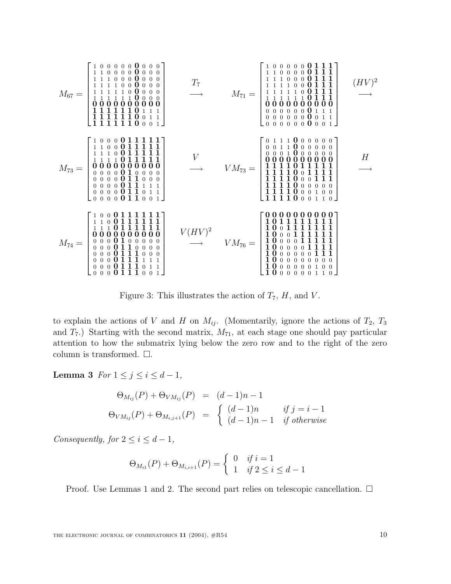

Figure 3: This illustrates the action of  $T_7$ ,  $H$ , and  $V$ .

to explain the actions of V and H on  $M_{ij}$ . (Momentarily, ignore the actions of  $T_2$ ,  $T_3$ and  $T_7$ .) Starting with the second matrix,  $M_{71}$ , at each stage one should pay particular attention to how the submatrix lying below the zero row and to the right of the zero column is transformed.  $\square$ .

**Lemma 3** For  $1 \leq j \leq i \leq d-1$ ,

$$
\Theta_{M_{ij}}(P) + \Theta_{VM_{ij}}(P) = (d-1)n - 1
$$
  
\n
$$
\Theta_{VM_{ij}}(P) + \Theta_{M_{i,j+1}}(P) = \begin{cases} (d-1)n & \text{if } j = i-1 \\ (d-1)n - 1 & \text{if otherwise} \end{cases}
$$

Consequently, for  $2 \leq i \leq d-1$ ,

$$
\Theta_{M_{i1}}(P) + \Theta_{M_{i,i+1}}(P) = \begin{cases} 0 & \text{if } i = 1 \\ 1 & \text{if } 2 \le i \le d-1 \end{cases}
$$

Proof. Use Lemmas 1 and 2. The second part relies on telescopic cancellation.  $\Box$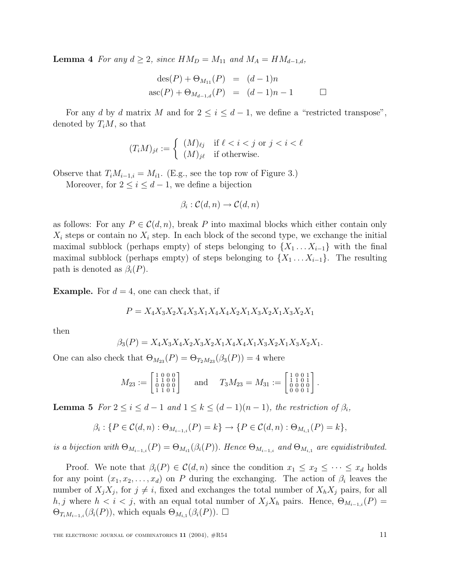**Lemma 4** For any  $d \geq 2$ , since  $HM_D = M_{11}$  and  $M_A = HM_{d-1,d}$ ,

$$
des(P) + \Theta_{M_{11}}(P) = (d-1)n
$$
  
asc(P) +  $\Theta_{M_{d-1,d}}(P) = (d-1)n - 1$ 

For any d by d matrix M and for  $2 \leq i \leq d-1$ , we define a "restricted transpose", denoted by  $T_iM$ , so that

$$
(T_i M)_{j\ell} := \begin{cases} (M)_{\ell j} & \text{if } \ell < i < j \text{ or } j < i < \ell \\ (M)_{j\ell} & \text{if otherwise.} \end{cases}
$$

Observe that  $T_iM_{i-1,i} = M_{i1}$ . (E.g., see the top row of Figure 3.)

Moreover, for  $2 \leq i \leq d-1$ , we define a bijection

$$
\beta_i : \mathcal{C}(d, n) \to \mathcal{C}(d, n)
$$

as follows: For any  $P \in \mathcal{C}(d, n)$ , break P into maximal blocks which either contain only  $X_i$  steps or contain no  $X_i$  step. In each block of the second type, we exchange the initial maximal subblock (perhaps empty) of steps belonging to  $\{X_1 \ldots X_{i-1}\}$  with the final maximal subblock (perhaps empty) of steps belonging to  $\{X_1 \ldots X_{i-1}\}$ . The resulting path is denoted as  $\beta_i(P)$ .

**Example.** For  $d = 4$ , one can check that, if

$$
P = X_4 X_3 X_2 X_4 X_3 X_1 X_4 X_4 X_2 X_1 X_3 X_2 X_1 X_3 X_2 X_1
$$

then

$$
\beta_3(P)=X_4X_3X_4X_2X_3X_2X_1X_4X_4X_1X_3X_2X_1X_3X_2X_1.
$$

One can also check that  $\Theta_{M_{23}}(P)=\Theta_{T_2M_{23}}(\beta_3(P))=4$  where

$$
M_{23} := \begin{bmatrix} 1 & 0 & 0 & 0 \\ 1 & 1 & 0 & 0 \\ 0 & 0 & 0 & 0 \\ 1 & 1 & 0 & 1 \end{bmatrix} \quad \text{and} \quad T_3 M_{23} = M_{31} := \begin{bmatrix} 1 & 0 & 0 & 1 \\ 1 & 1 & 0 & 1 \\ 0 & 0 & 0 & 0 \\ 0 & 0 & 0 & 1 \end{bmatrix}.
$$

**Lemma 5** For  $2 \leq i \leq d-1$  and  $1 \leq k \leq (d-1)(n-1)$ , the restriction of  $\beta_i$ ,

$$
\beta_i: \{ P \in C(d, n) : \Theta_{M_{i-1,i}}(P) = k \} \to \{ P \in C(d, n) : \Theta_{M_{i,1}}(P) = k \},
$$

is a bijection with  $\Theta_{M_{i-1,i}}(P)=\Theta_{M_{i1}}(\beta_i(P)).$  Hence  $\Theta_{M_{i-1,i}}$  and  $\Theta_{M_{i,1}}$  are equidistributed.

Proof. We note that  $\beta_i(P) \in \mathcal{C}(d,n)$  since the condition  $x_1 \leq x_2 \leq \cdots \leq x_d$  holds for any point  $(x_1, x_2, \ldots, x_d)$  on P during the exchanging. The action of  $\beta_i$  leaves the number of  $X_iX_j$ , for  $j \neq i$ , fixed and exchanges the total number of  $X_hX_j$  pairs, for all h, j where  $h < i < j$ , with an equal total number of  $X_jX_h$  pairs. Hence,  $\Theta_{M_{i-1,i}}(P) =$  $\Theta_{T_iM_{i-1,i}}(\beta_i(P))$ , which equals  $\Theta_{M_{i,1}}(\beta_i(P))$ .  $\Box$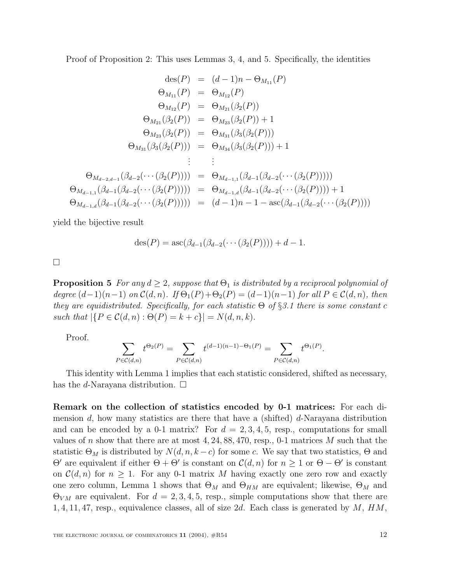Proof of Proposition 2: This uses Lemmas 3, 4, and 5. Specifically, the identities

$$
\begin{aligned}\n\deg(P) &= (d-1)n - \Theta_{M_{11}}(P) \\
\Theta_{M_{11}}(P) &= \Theta_{M_{12}}(P) \\
\Theta_{M_{12}}(P) &= \Theta_{M_{21}}(\beta_2(P)) \\
\Theta_{M_{21}}(\beta_2(P)) &= \Theta_{M_{23}}(\beta_2(P)) + 1 \\
\Theta_{M_{23}}(\beta_2(P)) &= \Theta_{M_{31}}(\beta_3(\beta_2(P))) \\
\Theta_{M_{31}}(\beta_3(\beta_2(P))) &= \Theta_{M_{34}}(\beta_3(\beta_2(P))) + 1 \\
&\vdots &\vdots \\
\Theta_{M_{d-2,d-1}}(\beta_{d-2}(\cdots(\beta_2(P)))) &= \Theta_{M_{d-1,1}}(\beta_{d-1}(\beta_{d-2}(\cdots(\beta_2(P)))) \\
\Theta_{M_{d-1,1}}(\beta_{d-1}(\beta_{d-2}(\cdots(\beta_2(P)))) &= \Theta_{M_{d-1,d}}(\beta_{d-1}(\beta_{d-2}(\cdots(\beta_2(P)))) + 1 \\
\Theta_{M_{d-1,d}}(\beta_{d-1}(\beta_{d-2}(\cdots(\beta_2(P)))) &= (d-1)n - 1 - \text{asc}(\beta_{d-1}(\beta_{d-2}(\cdots(\beta_2(P))))\n\end{aligned}
$$

yield the bijective result

$$
des(P) = asc(\beta_{d-1}(\beta_{d-2}(\cdots(\beta_2(P)))) + d - 1.
$$

 $\Box$ 

**Proposition 5** For any  $d \geq 2$ , suppose that  $\Theta_1$  is distributed by a reciprocal polynomial of degree  $(d-1)(n-1)$  on  $\mathcal{C}(d,n)$ . If  $\Theta_1(P) + \Theta_2(P) = (d-1)(n-1)$  for all  $P \in \mathcal{C}(d,n)$ , then they are equidistributed. Specifically, for each statistic  $\Theta$  of §3.1 there is some constant c such that  $|\{P \in C(d, n) : \Theta(P) = k + c\}| = N(d, n, k).$ 

Proof.

$$
\sum_{P \in \mathcal{C}(d,n)} t^{\Theta_2(P)} = \sum_{P \in \mathcal{C}(d,n)} t^{(d-1)(n-1) - \Theta_1(P)} = \sum_{P \in \mathcal{C}(d,n)} t^{\Theta_1(P)}.
$$

This identity with Lemma 1 implies that each statistic considered, shifted as necessary, has the *d*-Narayana distribution.  $\square$ 

**Remark on the collection of statistics encoded by 0-1 matrices:** For each dimension  $d$ , how many statistics are there that have a (shifted)  $d$ -Narayana distribution and can be encoded by a 0-1 matrix? For  $d = 2, 3, 4, 5$ , resp., computations for small values of n show that there are at most  $4, 24, 88, 470,$  resp., 0-1 matrices M such that the statistic  $\Theta_M$  is distributed by  $N(d, n, k-c)$  for some c. We say that two statistics,  $\Theta$  and  $Θ'$  are equivalent if either  $Θ + Θ'$  is constant on  $C(d, n)$  for  $n ≥ 1$  or  $Θ - Θ'$  is constant on  $\mathcal{C}(d,n)$  for  $n \geq 1$ . For any 0-1 matrix M having exactly one zero row and exactly one zero column, Lemma 1 shows that  $\Theta_M$  and  $\Theta_{HM}$  are equivalent; likewise,  $\Theta_M$  and  $\Theta_{VM}$  are equivalent. For  $d = 2, 3, 4, 5$ , resp., simple computations show that there are 1, 4, 11, 47, resp., equivalence classes, all of size 2d. Each class is generated by  $M$ ,  $HM$ ,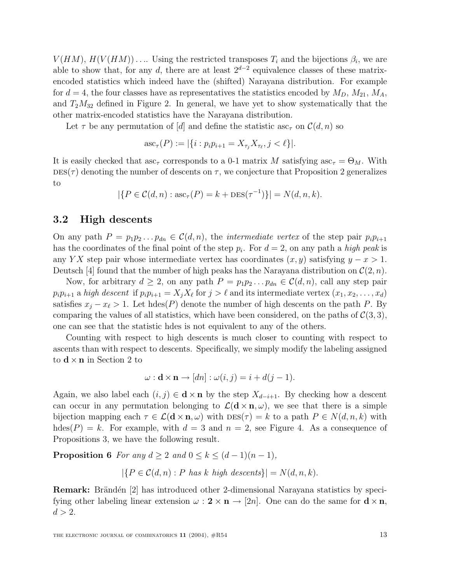$V(HM)$ ,  $H(V(HM))$ .... Using the restricted transposes  $T_i$  and the bijections  $\beta_i$ , we are able to show that, for any d, there are at least  $2^{d-2}$  equivalence classes of these matrixencoded statistics which indeed have the (shifted) Narayana distribution. For example for  $d = 4$ , the four classes have as representatives the statistics encoded by  $M_D$ ,  $M_{21}$ ,  $M_A$ , and  $T_2M_{32}$  defined in Figure 2. In general, we have yet to show systematically that the other matrix-encoded statistics have the Narayana distribution.

Let  $\tau$  be any permutation of [d] and define the statistic asc<sub> $\tau$ </sub> on  $\mathcal{C}(d, n)$  so

$$
\mathrm{asc}_{\tau}(P) := |\{i : p_i p_{i+1} = X_{\tau_j} X_{\tau_\ell}, j < \ell\}|.
$$

It is easily checked that asc<sub>τ</sub> corresponds to a 0-1 matrix M satisfying asc<sub>τ</sub> =  $\Theta_M$ . With  $\text{DES}(\tau)$  denoting the number of descents on  $\tau$ , we conjecture that Proposition 2 generalizes to

$$
|\{P \in C(d, n) : \mathrm{asc}_\tau(P) = k + \mathrm{DES}(\tau^{-1})\}| = N(d, n, k).
$$

### **3.2 High descents**

On any path  $P = p_1p_2...p_{dn} \in \mathcal{C}(d,n)$ , the *intermediate vertex* of the step pair  $p_i p_{i+1}$ has the coordinates of the final point of the step  $p_i$ . For  $d = 2$ , on any path a high peak is any YX step pair whose intermediate vertex has coordinates  $(x, y)$  satisfying  $y - x > 1$ . Deutsch [4] found that the number of high peaks has the Narayana distribution on  $\mathcal{C}(2, n)$ .

Now, for arbitrary  $d \geq 2$ , on any path  $P = p_1 p_2 \dots p_{dn} \in C(d, n)$ , call any step pair  $p_i p_{i+1}$  a high descent if  $p_i p_{i+1} = X_j X_\ell$  for  $j > \ell$  and its intermediate vertex  $(x_1, x_2, \ldots, x_d)$ satisfies  $x_i - x_\ell > 1$ . Let hdes(P) denote the number of high descents on the path P. By comparing the values of all statistics, which have been considered, on the paths of  $\mathcal{C}(3,3)$ , one can see that the statistic hdes is not equivalent to any of the others.

Counting with respect to high descents is much closer to counting with respect to ascents than with respect to descents. Specifically, we simply modify the labeling assigned to  $\mathbf{d} \times \mathbf{n}$  in Section 2 to

$$
\omega: \mathbf{d} \times \mathbf{n} \to [dn]: \omega(i,j) = i + d(j-1).
$$

Again, we also label each  $(i, j) \in \mathbf{d} \times \mathbf{n}$  by the step  $X_{d-i+1}$ . By checking how a descent can occur in any permutation belonging to  $\mathcal{L}(\mathbf{d} \times \mathbf{n}, \omega)$ , we see that there is a simple bijection mapping each  $\tau \in \mathcal{L}(\mathbf{d} \times \mathbf{n}, \omega)$  with  $\text{DES}(\tau) = k$  to a path  $P \in N(d, n, k)$  with hdes(P) = k. For example, with  $d = 3$  and  $n = 2$ , see Figure 4. As a consequence of Propositions 3, we have the following result.

**Proposition 6** For any  $d \geq 2$  and  $0 \leq k \leq (d-1)(n-1)$ ,

 $|\{P \in \mathcal{C}(d,n) : P \text{ has } k \text{ high descents}\}| = N(d,n,k).$ 

**Remark:** Brändén [2] has introduced other 2-dimensional Narayana statistics by specifying other labeling linear extension  $\omega : \mathbf{2} \times \mathbf{n} \to [2n]$ . One can do the same for  $\mathbf{d} \times \mathbf{n}$ ,  $d > 2$ .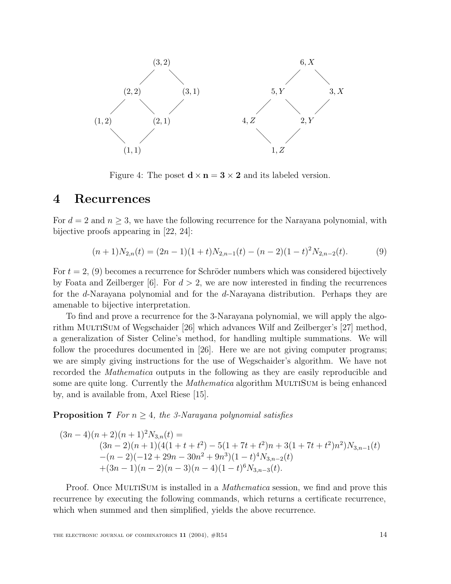

Figure 4: The poset  $\mathbf{d} \times \mathbf{n} = 3 \times 2$  and its labeled version.

### **4 Recurrences**

For  $d = 2$  and  $n \geq 3$ , we have the following recurrence for the Narayana polynomial, with bijective proofs appearing in [22, 24]:

$$
(n+1)N_{2,n}(t) = (2n-1)(1+t)N_{2,n-1}(t) - (n-2)(1-t)^2N_{2,n-2}(t).
$$
 (9)

For  $t = 2$ , (9) becomes a recurrence for Schröder numbers which was considered bijectively by Foata and Zeilberger [6]. For  $d > 2$ , we are now interested in finding the recurrences for the d-Narayana polynomial and for the d-Narayana distribution. Perhaps they are amenable to bijective interpretation.

To find and prove a recurrence for the 3-Narayana polynomial, we will apply the algorithm MultiSum of Wegschaider [26] which advances Wilf and Zeilberger's [27] method, a generalization of Sister Celine's method, for handling multiple summations. We will follow the procedures documented in [26]. Here we are not giving computer programs; we are simply giving instructions for the use of Wegschaider's algorithm. We have not recorded the Mathematica outputs in the following as they are easily reproducible and some are quite long. Currently the *Mathematica* algorithm MULTISUM is being enhanced by, and is available from, Axel Riese [15].

**Proposition 7** For  $n \geq 4$ , the 3-Narayana polynomial satisfies

$$
(3n-4)(n+2)(n+1)2N3,n(t) =(3n-2)(n+1)(4(1+t+t2)-5(1+7t+t2)n+3(1+7t+t2)n2)N3,n-1(t)-(n-2)(-12+29n-30n2+9n3)(1-t)4N3,n-2(t)+(3n-1)(n-2)(n-3)(n-4)(1-t)6N3,n-3(t).
$$

Proof. Once MULTISUM is installed in a *Mathematica* session, we find and prove this recurrence by executing the following commands, which returns a certificate recurrence, which when summed and then simplified, yields the above recurrence.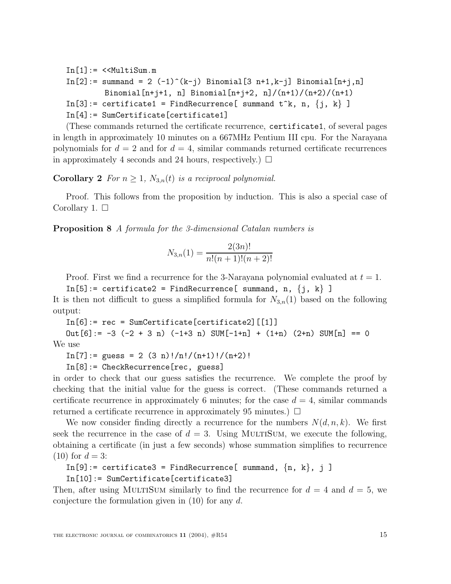$In [1]: = \langle \langle \text{MultiSum.m} \rangle$  $In [2]: = summand = 2 (-1)^{k-i} (k-i) Binomial [3 n+1, k-i] Binomial [n+i, n]$ Binomial $[n+j+1, n]$  Binomial $[n+j+2, n]/(n+1)/(n+2)/(n+1)$  $In [3]:$  certificate1 = FindRecurrence[ summand t^k, n,  ${j, k}$ ] In[4]:= SumCertificate[certificate1]

(These commands returned the certificate recurrence, certificate1, of several pages in length in approximately 10 minutes on a 667MHz Pentium III cpu. For the Narayana polynomials for  $d = 2$  and for  $d = 4$ , similar commands returned certificate recurrences in approximately 4 seconds and 24 hours, respectively.)  $\Box$ 

**Corollary 2** For  $n \geq 1$ ,  $N_{3,n}(t)$  is a reciprocal polynomial.

Proof. This follows from the proposition by induction. This is also a special case of Corollary 1.  $\square$ 

**Proposition 8** A formula for the 3-dimensional Catalan numbers is

$$
N_{3,n}(1) = \frac{2(3n)!}{n!(n+1)!(n+2)!}
$$

Proof. First we find a recurrence for the 3-Narayana polynomial evaluated at  $t = 1$ .

 $In [5]: = certificate2 = FindRecurrence[summ, n, {j, k}]$ It is then not difficult to guess a simplified formula for  $N_{3,n}(1)$  based on the following output:

 $In [6]: = rec = SumCertifice(certificance2) [[1]]$ 

Out  $[6] := -3 (-2 + 3 n) (-1 + 3 n)$  SUM $[-1 + n] + (1 + n) (2 + n)$  SUM $[n] == 0$ We use

 $In [7]: = guess = 2 (3 n)!/n!/(n+1)!/(n+2)!$ 

In[8]:= CheckRecurrence[rec, guess]

in order to check that our guess satisfies the recurrence. We complete the proof by checking that the initial value for the guess is correct. (These commands returned a certificate recurrence in approximately 6 minutes; for the case  $d = 4$ , similar commands returned a certificate recurrence in approximately 95 minutes.)  $\Box$ 

We now consider finding directly a recurrence for the numbers  $N(d, n, k)$ . We first seek the recurrence in the case of  $d = 3$ . Using MULTISUM, we execute the following, obtaining a certificate (in just a few seconds) whose summation simplifies to recurrence  $(10)$  for  $d = 3$ :

```
In [9]: certificate3 = FindRecurrence[ summand, \{n, k\}, j]
```
In[10]:= SumCertificate[certificate3]

Then, after using MULTISUM similarly to find the recurrence for  $d = 4$  and  $d = 5$ , we conjecture the formulation given in  $(10)$  for any d.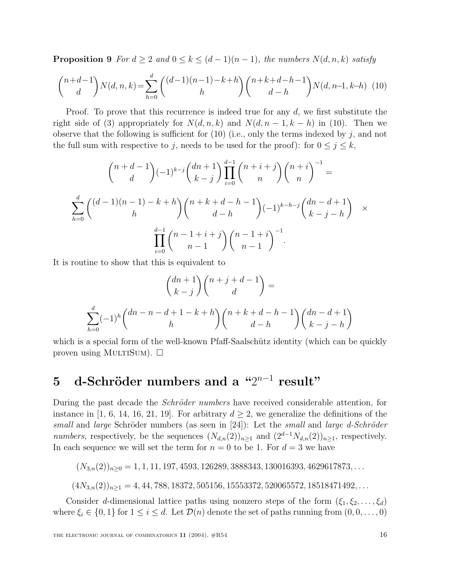**Proposition 9** For  $d \geq 2$  and  $0 \leq k \leq (d-1)(n-1)$ , the numbers  $N(d, n, k)$  satisfy

$$
\binom{n+d-1}{d}N(d,n,k) = \sum_{h=0}^{d} \binom{(d-1)(n-1)-k+h}{h} \binom{n+k+d-h-1}{d-h} N(d,n-1,k-h) \tag{10}
$$

Proof. To prove that this recurrence is indeed true for any  $d$ , we first substitute the right side of (3) appropriately for  $N(d, n, k)$  and  $N(d, n - 1, k - h)$  in (10). Then we observe that the following is sufficient for  $(10)$  (i.e., only the terms indexed by j, and not the full sum with respective to j, needs to be used for the proof): for  $0 \leq j \leq k$ ,

$$
\binom{n+d-1}{d}(-1)^{k-j}\binom{dn+1}{k-j}\prod_{i=0}^{d-1}\binom{n+i+j}{n}\binom{n+i}{n}^{-1} =
$$
\n
$$
\sum_{h=0}^{d}\binom{(d-1)(n-1)-k+h}{h}\binom{n+k+d-h-1}{d-h}(-1)^{k-h-j}\binom{dn-d+1}{k-j-h} \times \prod_{i=0}^{d-1}\binom{n-1+i+j}{n-1}\binom{n-1+i}{n-1}^{-1}.
$$

It is routine to show that this is equivalent to

$$
\binom{dn+1}{k-j}\binom{n+j+d-1}{d} =
$$
  

$$
\sum_{h=0}^{d} (-1)^h \binom{dn-n-d+1-k+h}{h} \binom{n+k+d-h-1}{d-h} \binom{dn-d+1}{k-j-h}
$$

which is a special form of the well-known Pfaff-Saalschütz identity (which can be quickly proven using MULTISUM).  $\square$ 

## **5** d-Schröder numbers and a "2<sup>n−1</sup> result"

During the past decade the *Schröder numbers* have received considerable attention, for instance in [1, 6, 14, 16, 21, 19]. For arbitrary  $d > 2$ , we generalize the definitions of the small and large Schröder numbers (as seen in [24]): Let the small and large d-Schröder numbers, respectively, be the sequences  $(N_{d,n}(2))_{n\geq 1}$  and  $(2^{d-1}N_{d,n}(2))_{n\geq 1}$ , respectively. In each sequence we will set the term for  $n = 0$  to be 1. For  $d = 3$  we have

 $(N_{3,n}(2))_{n\geq 0} = 1, 1, 11, 197, 4593, 126289, 3888343, 130016393, 4629617873, \ldots$ 

 $(4N_{3,n}(2))_{n\geq 1} = 4, 44, 788, 18372, 505156, 15553372, 520065572, 18518471492, \ldots$ 

Consider d-dimensional lattice paths using nonzero steps of the form  $(\xi_1, \xi_2, \ldots, \xi_d)$ where  $\xi_i \in \{0,1\}$  for  $1 \leq i \leq d$ . Let  $\mathcal{D}(n)$  denote the set of paths running from  $(0,0,\ldots,0)$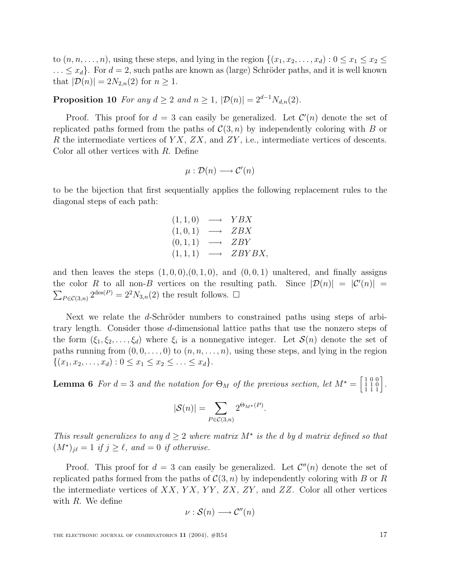to  $(n, n, \ldots, n)$ , using these steps, and lying in the region  $\{(x_1, x_2, \ldots, x_d): 0 \le x_1 \le x_2 \le x_2 \}$  $\ldots \leq x_d$ . For  $d = 2$ , such paths are known as (large) Schröder paths, and it is well known that  $|\mathcal{D}(n)| = 2N_{2,n}(2)$  for  $n \geq 1$ .

**Proposition 10** For any  $d \ge 2$  and  $n \ge 1$ ,  $|\mathcal{D}(n)| = 2^{d-1}N_{d,n}(2)$ .

Proof. This proof for  $d = 3$  can easily be generalized. Let  $\mathcal{C}'(n)$  denote the set of replicated paths formed from the paths of  $C(3, n)$  by independently coloring with B or R the intermediate vertices of  $YX$ ,  $ZX$ , and  $ZY$ , i.e., intermediate vertices of descents. Color all other vertices with R. Define

$$
\mu: \mathcal{D}(n) \longrightarrow \mathcal{C}'(n)
$$

to be the bijection that first sequentially applies the following replacement rules to the diagonal steps of each path:

$$
(1,1,0) \longrightarrow YBX \n(1,0,1) \longrightarrow ZBX \n(0,1,1) \longrightarrow ZBY \n(1,1,1) \longrightarrow ZBYBX,
$$

and then leaves the steps  $(1, 0, 0), (0, 1, 0),$  and  $(0, 0, 1)$  unaltered, and finally assigns the color R to all non-B vertices on the resulting path. Since  $|\mathcal{D}(n)| = |\mathcal{C}'(n)| =$  $\sum_{P \in \mathcal{C}(3,n)} 2^{\text{des}(P)} = 2^2 N_{3,n}(2)$  the result follows.  $\Box$ 

Next we relate the d-Schröder numbers to constrained paths using steps of arbitrary length. Consider those d-dimensional lattice paths that use the nonzero steps of the form  $(\xi_1, \xi_2, \ldots, \xi_d)$  where  $\xi_i$  is a nonnegative integer. Let  $\mathcal{S}(n)$  denote the set of paths running from  $(0, 0, \ldots, 0)$  to  $(n, n, \ldots, n)$ , using these steps, and lying in the region  $\{(x_1, x_2,...,x_d): 0 \le x_1 \le x_2 \le ... \le x_d\}.$ 

**Lemma 6** For  $d = 3$  and the notation for  $\Theta_M$  of the previous section, let  $M^* = \begin{bmatrix} 1 & 0 & 0 \\ 1 & 1 & 0 \\ 1 & 1 & 1 \end{bmatrix}$ .

$$
|\mathcal{S}(n)| = \sum_{P \in \mathcal{C}(3,n)} 2^{\Theta_{M^\star}(P)}.
$$

This result generalizes to any  $d \geq 2$  where matrix  $M^*$  is the d by d matrix defined so that  $(M^{\star})_{j\ell} = 1$  if  $j \geq \ell$ , and  $= 0$  if otherwise.

Proof. This proof for  $d = 3$  can easily be generalized. Let  $\mathcal{C}''(n)$  denote the set of replicated paths formed from the paths of  $C(3, n)$  by independently coloring with B or R the intermediate vertices of  $XX$ ,  $YX$ ,  $YY$ ,  $ZX$ ,  $ZY$ , and  $ZZ$ . Color all other vertices with R. We define

$$
\nu : \mathcal{S}(n) \longrightarrow \mathcal{C}''(n)
$$

THE ELECTRONIC JOURNAL OF COMBINATORICS  $11$  (2004),  $\#R54$  17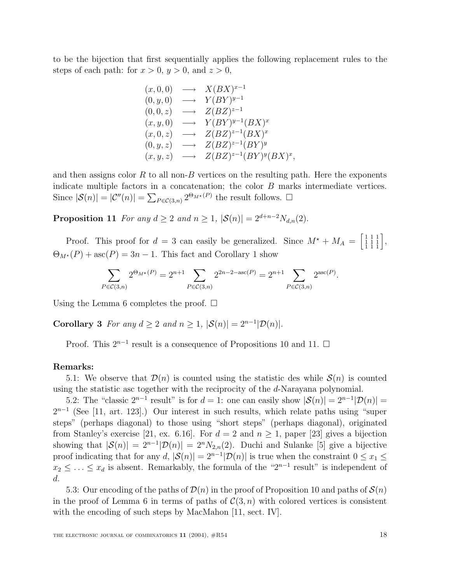to be the bijection that first sequentially applies the following replacement rules to the steps of each path: for  $x > 0$ ,  $y > 0$ , and  $z > 0$ ,

$$
(x,0,0) \longrightarrow X(BX)^{x-1}
$$
  
\n
$$
(0,y,0) \longrightarrow Y(BY)^{y-1}
$$
  
\n
$$
(0,0,z) \longrightarrow Z(BZ)^{z-1}
$$
  
\n
$$
(x,y,0) \longrightarrow Y(BY)^{y-1}(BX)^x
$$
  
\n
$$
(x,0,z) \longrightarrow Z(BZ)^{z-1}(BX)^x
$$
  
\n
$$
(0,y,z) \longrightarrow Z(BZ)^{z-1}(BY)^y
$$
  
\n
$$
(x,y,z) \longrightarrow Z(BZ)^{z-1}(BY)^y(BX)^x,
$$

and then assigns color  $R$  to all non- $B$  vertices on the resulting path. Here the exponents indicate multiple factors in a concatenation; the color B marks intermediate vertices. Since  $|\mathcal{S}(n)| = |\mathcal{C}''(n)| = \sum_{P \in \mathcal{C}(3,n)} 2^{\Theta_{M^*}(P)}$  the result follows.  $\Box$ 

**Proposition 11** For any  $d \ge 2$  and  $n \ge 1$ ,  $|\mathcal{S}(n)| = 2^{d+n-2}N_{d,n}(2)$ .

Proof. This proof for  $d = 3$  can easily be generalized. Since  $M^* + M_A = \begin{bmatrix} 1 & 1 & 1 \\ 1 & 1 & 1 \\ 1 & 1 & 1 \end{bmatrix}$ ,  $\Theta_{M^*}(P) + \mathrm{asc}(P) = 3n - 1$ . This fact and Corollary 1 show

$$
\sum_{P \in \mathcal{C}(3,n)} 2^{\Theta_{M^\star}(P)} = 2^{n+1} \sum_{P \in \mathcal{C}(3,n)} 2^{2n-2-\mathrm{asc}(P)} = 2^{n+1} \sum_{P \in \mathcal{C}(3,n)} 2^{\mathrm{asc}(P)}.
$$

Using the Lemma 6 completes the proof.  $\square$ 

**Corollary 3** For any  $d \ge 2$  and  $n \ge 1$ ,  $|\mathcal{S}(n)| = 2^{n-1}|\mathcal{D}(n)|$ .

Proof. This  $2^{n-1}$  result is a consequence of Propositions 10 and 11. □

### **Remarks:**

5.1: We observe that  $\mathcal{D}(n)$  is counted using the statistic des while  $\mathcal{S}(n)$  is counted using the statistic asc together with the reciprocity of the d-Narayana polynomial.

5.2: The "classic  $2^{n-1}$  result" is for  $d = 1$ : one can easily show  $|\mathcal{S}(n)| = 2^{n-1}|\mathcal{D}(n)| =$  $2^{n-1}$  (See [11, art. 123].) Our interest in such results, which relate paths using "super steps" (perhaps diagonal) to those using "short steps" (perhaps diagonal), originated from Stanley's exercise [21, ex. 6.16]. For  $d = 2$  and  $n \ge 1$ , paper [23] gives a bijection showing that  $|S(n)| = 2^{n-1}|\mathcal{D}(n)| = 2^n N_{2,n}(2)$ . Duchi and Sulanke [5] give a bijective proof indicating that for any d,  $|\mathcal{S}(n)| = 2^{n-1}|\mathcal{D}(n)|$  is true when the constraint  $0 \le x_1 \le$  $x_2 \leq \ldots \leq x_d$  is absent. Remarkably, the formula of the "2<sup>n-1</sup> result" is independent of d.

5.3: Our encoding of the paths of  $\mathcal{D}(n)$  in the proof of Proposition 10 and paths of  $\mathcal{S}(n)$ in the proof of Lemma 6 in terms of paths of  $\mathcal{C}(3,n)$  with colored vertices is consistent with the encoding of such steps by MacMahon [11, sect. IV].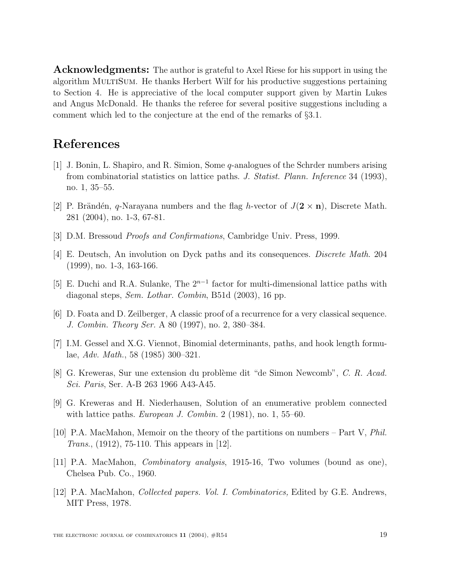**Acknowledgments:** The author is grateful to Axel Riese for his support in using the algorithm MULTISUM. He thanks Herbert Wilf for his productive suggestions pertaining to Section 4. He is appreciative of the local computer support given by Martin Lukes and Angus McDonald. He thanks the referee for several positive suggestions including a comment which led to the conjecture at the end of the remarks of §3.1.

## **References**

- [1] J. Bonin, L. Shapiro, and R. Simion, Some q-analogues of the Schrder numbers arising from combinatorial statistics on lattice paths. J. Statist. Plann. Inference 34 (1993), no. 1, 35–55.
- [2] P. Brändén, q-Narayana numbers and the flag h-vector of  $J(2 \times n)$ , Discrete Math. 281 (2004), no. 1-3, 67-81.
- [3] D.M. Bressoud Proofs and Confirmations, Cambridge Univ. Press, 1999.
- [4] E. Deutsch, An involution on Dyck paths and its consequences. Discrete Math. 204 (1999), no. 1-3, 163-166.
- [5] E. Duchi and R.A. Sulanke, The  $2^{n-1}$  factor for multi-dimensional lattice paths with diagonal steps, Sem. Lothar. Combin, B51d (2003), 16 pp.
- [6] D. Foata and D. Zeilberger, A classic proof of a recurrence for a very classical sequence. J. Combin. Theory Ser. A 80 (1997), no. 2, 380–384.
- [7] I.M. Gessel and X.G. Viennot, Binomial determinants, paths, and hook length formulae, Adv. Math., 58 (1985) 300–321.
- [8] G. Kreweras, Sur une extension du problème dit "de Simon Newcomb", C. R. Acad. Sci. Paris, Ser. A-B 263 1966 A43-A45.
- [9] G. Kreweras and H. Niederhausen, Solution of an enumerative problem connected with lattice paths. European J. Combin. 2  $(1981)$ , no. 1, 55–60.
- [10] P.A. MacMahon, Memoir on the theory of the partitions on numbers Part V, Phil. Trans., (1912), 75-110. This appears in [12].
- [11] P.A. MacMahon, Combinatory analysis, 1915-16, Two volumes (bound as one), Chelsea Pub. Co., 1960.
- [12] P.A. MacMahon, Collected papers. Vol. I. Combinatorics, Edited by G.E. Andrews, MIT Press, 1978.